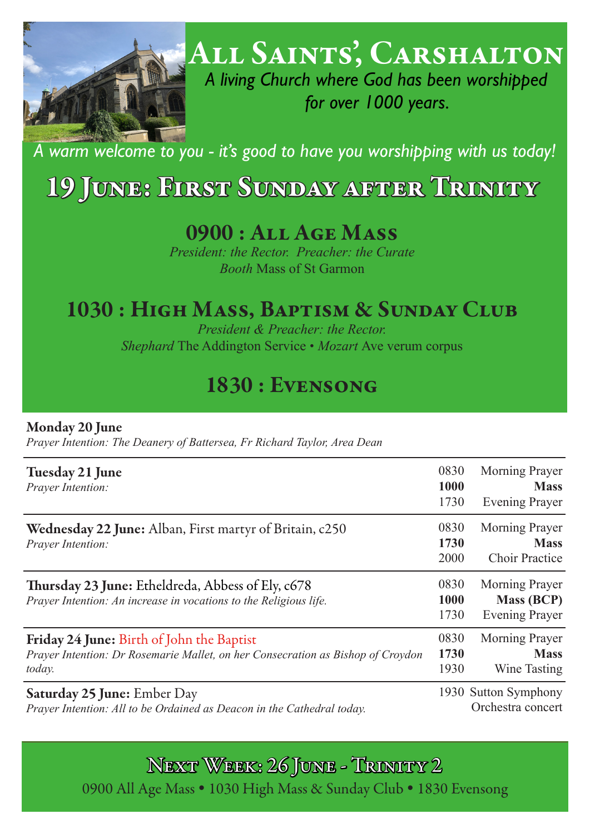

All Saints', Carshalton

*A living Church where God has been worshipped for over 1000 years.*

*A warm welcome to you - it's good to have you worshipping with us today!* 

# 19 June: First Sunday after Trinity

## 0900 : All Age Mass

*President: the Rector. Preacher: the Curate Booth* Mass of St Garmon

## 1030 : High Mass, Baptism & Sunday Club

*President & Preacher: the Rector. Shephard* The Addington Service • *Mozart* Ave verum corpus

## 1830 : Evensong

#### Monday 20 June

*Prayer Intention: The Deanery of Battersea, Fr Richard Taylor, Area Dean*

| Tuesday 21 June<br>Prayer Intention:                                                                                                   | 0830<br>1000<br>1730                      | <b>Morning Prayer</b><br><b>Mass</b><br><b>Evening Prayer</b> |
|----------------------------------------------------------------------------------------------------------------------------------------|-------------------------------------------|---------------------------------------------------------------|
| <b>Wednesday 22 June:</b> Alban, First martyr of Britain, c250<br>Prayer Intention:                                                    | 0830<br>1730<br>2000                      | <b>Morning Prayer</b><br><b>Mass</b><br><b>Choir Practice</b> |
| Thursday 23 June: Etheldreda, Abbess of Ely, c678<br>Prayer Intention: An increase in vocations to the Religious life.                 | 0830<br>1000<br>1730                      | Morning Prayer<br><b>Mass (BCP)</b><br><b>Evening Prayer</b>  |
| Friday 24 June: Birth of John the Baptist<br>Prayer Intention: Dr Rosemarie Mallet, on her Consecration as Bishop of Croydon<br>today. | 0830<br>1730<br>1930                      | <b>Morning Prayer</b><br><b>Mass</b><br>Wine Tasting          |
| <b>Saturday 25 June: Ember Day</b><br>Prayer Intention: All to be Ordained as Deacon in the Cathedral today.                           | 1930 Sutton Symphony<br>Orchestra concert |                                                               |

Next Week: 26 June - Trinity 2 0900 All Age Mass . 1030 High Mass & Sunday Club . 1830 Evensong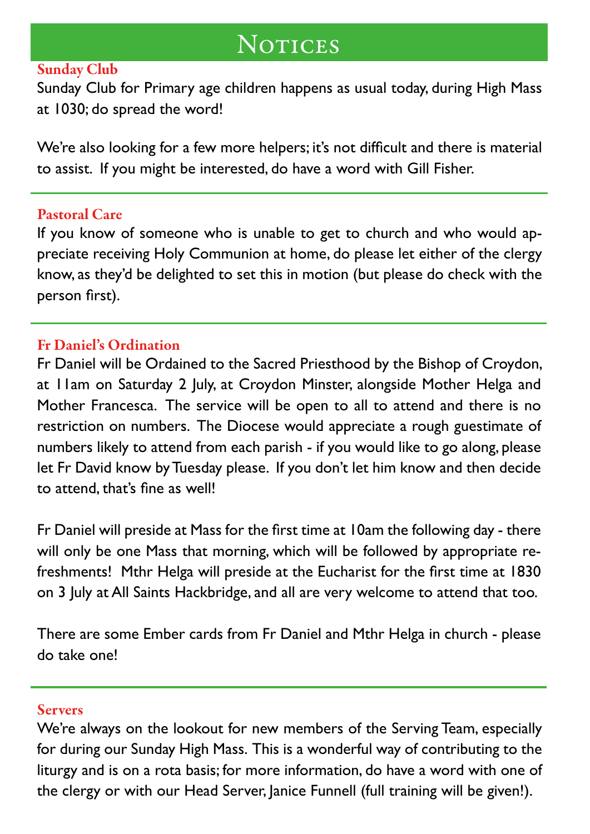## **NOTICES**

### Sunday Club

Sunday Club for Primary age children happens as usual today, during High Mass at 1030; do spread the word!

We're also looking for a few more helpers; it's not difficult and there is material to assist. If you might be interested, do have a word with Gill Fisher.

### Pastoral Care

If you know of someone who is unable to get to church and who would appreciate receiving Holy Communion at home, do please let either of the clergy know, as they'd be delighted to set this in motion (but please do check with the person first).

### Fr Daniel's Ordination

Fr Daniel will be Ordained to the Sacred Priesthood by the Bishop of Croydon, at 11am on Saturday 2 July, at Croydon Minster, alongside Mother Helga and Mother Francesca. The service will be open to all to attend and there is no restriction on numbers. The Diocese would appreciate a rough guestimate of numbers likely to attend from each parish - if you would like to go along, please let Fr David know by Tuesday please. If you don't let him know and then decide to attend, that's fine as well!

Fr Daniel will preside at Mass for the first time at 10am the following day - there will only be one Mass that morning, which will be followed by appropriate refreshments! Mthr Helga will preside at the Eucharist for the first time at 1830 on 3 July at All Saints Hackbridge, and all are very welcome to attend that too.

There are some Ember cards from Fr Daniel and Mthr Helga in church - please do take one!

#### **Servers**

We're always on the lookout for new members of the Serving Team, especially for during our Sunday High Mass. This is a wonderful way of contributing to the liturgy and is on a rota basis; for more information, do have a word with one of the clergy or with our Head Server, Janice Funnell (full training will be given!).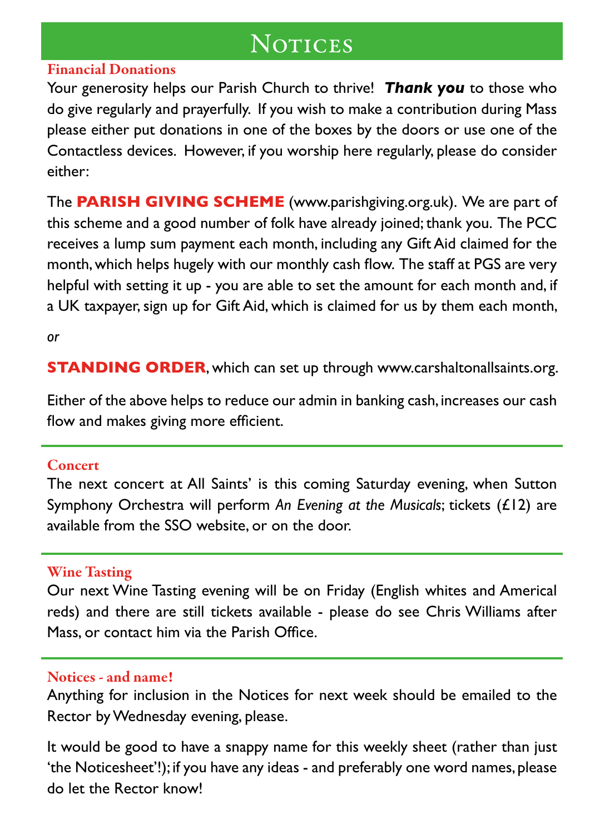## **NOTICES**

### Financial Donations

Your generosity helps our Parish Church to thrive! *Thank you* to those who do give regularly and prayerfully. If you wish to make a contribution during Mass please either put donations in one of the boxes by the doors or use one of the Contactless devices. However, if you worship here regularly, please do consider either:

The **PARISH GIVING SCHEME** (www.parishgiving.org.uk). We are part of this scheme and a good number of folk have already joined; thank you. The PCC receives a lump sum payment each month, including any Gift Aid claimed for the month, which helps hugely with our monthly cash flow. The staff at PGS are very helpful with setting it up - you are able to set the amount for each month and, if a UK taxpayer, sign up for Gift Aid, which is claimed for us by them each month,

*or* 

**STANDING ORDER**, which can set up through www.carshaltonallsaints.org.

Either of the above helps to reduce our admin in banking cash, increases our cash flow and makes giving more efficient.

#### **Concert**

The next concert at All Saints' is this coming Saturday evening, when Sutton Symphony Orchestra will perform *An Evening at the Musicals*; tickets (£12) are available from the SSO website, or on the door.

### Wine Tasting

Our next Wine Tasting evening will be on Friday (English whites and Americal reds) and there are still tickets available - please do see Chris Williams after Mass, or contact him via the Parish Office.

#### Notices - and name!

Anything for inclusion in the Notices for next week should be emailed to the Rector by Wednesday evening, please.

It would be good to have a snappy name for this weekly sheet (rather than just 'the Noticesheet'!); if you have any ideas - and preferably one word names, please do let the Rector know!